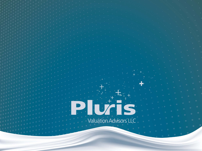# $+$ PUZES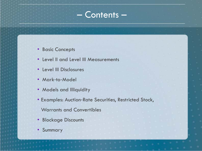# – Contents –

- Basic Concepts
- Level II and Level III Measurements
- Level III Disclosures
- Mark-to-Model
- Models and Illiquidity
- Examples: Auction‐Rate Securities, Restricted Stock,

Warrants and Convertibles

- Blockage Discounts
- Summary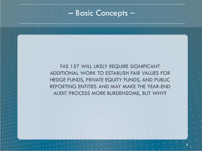#### – Basic Concepts –

FAS 157 WILL LIKELY REQUIRE SIGNIFICANT ADDITIONAL WORK TO ESTABLISH FAIR VALUES FOR HEDGE FUNDS, PRIVATE EQUITY FUNDS, AND PUBLIC REPORTING ENTITIES AND MAY MAKE THE YEAR-END AUDIT PROCESS MORE BURDENSOME, BUT WHY?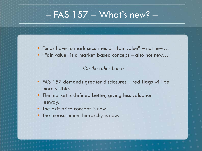# $-$  FAS 157  $-$  What's new?  $-$

- Funds have to mark securities at "fair value" not new…
- "Fair value" is a market‐based concept also not new…

*On the other hand:*

- FAS 157 demands greater disclosures red flags will be more visible.
- The market is defined better, giving less valuation leeway.
- The exit price concept is new.
- The measurement hierarchy is new.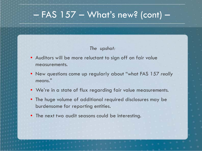# $-$  FAS 157  $-$  What's new? (cont)  $-$

#### *The upshot:*

- Auditors will be more reluctant to sign off on fair value measurements.
- New questions come up regularly about "what FAS 157 *really means."*
- We're in a state of flux regarding fair value measurements.
- The huge volume of additional required disclosures may be burdensome for reporting entities.
- The next two audit seasons could be interesting.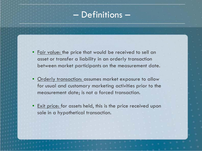# – Definitions –

- Fair value: the price that would be received to sell an asset or transfer a liability in an orderly transaction between market participants on the measurement date.
- Orderly transaction: assumes market exposure to allow for usual and customary marketing activities prior to the measurement date; is not a forced transaction.
- **Exit price:** for assets held, this is the price received upon sale in a hypothetical transaction.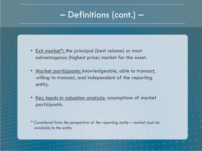# – Definitions (cont.) –

- Exit market<sup>\*</sup>: the principal (best volume) or most advantageous (highest price) market for the asset.
- <u>Market participants: knowledgeable</u>, able to transact, willing to transact, and independent of the reporting entity.
- Key inputs in valuation analysis: assumptions of market participants.

*\* Considered from the perspective of the reporting entity – market must be available to the entity.*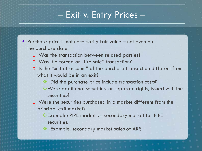# – Exit v. Entry Prices –

- Purchase price is not necessarily fair value not even on the purchase date!
	- o Was the transaction between related parties?
	- o Was it a forced or "fire sale" transaction?
	- o Is the "unit of account" of the purchase transaction different from what it would be in an exit?
		- Did the purchase price include transaction costs?
		- Were additional securities, or separate rights, issued with the securities?
	- o Were the securities purchased in a market different from the principal exit market?
		- Example: PIPE market vs. secondary market for PIPE securities.
		- Example: secondary market sales of ARS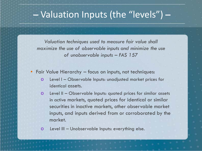# – Valuation Inputs (the "levels") –

*Valuation techniques used to measure fair value shall maximize the use of observable inputs and minimize the use of unobservable inputs – FAS 157*

• Fair Value Hierarchy – focus on inputs, not techniques:

- o Level I Observable Inputs: unadjusted market prices for identical assets.
- o Level II Observable Inputs: quoted prices for similar assets in active markets, quoted prices for identical or similar securities in inactive markets, other observable market inputs, and inputs derived from or corroborated by the market.

o Level III – Unobservable Inputs: everything else.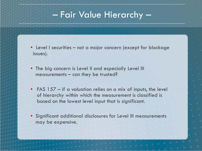# – Fair Value Hierarchy –

- Level I securities not a major concern (except for blockage issues).
- The big concern is Level II and especially Level III measurements – can they be trusted?
- FAS 157 if a valuation relies on a mix of inputs, the level of hierarchy within which the measurement is classified is based on the lowest level input that is significant.
- Significant additional disclosures for Level III measurements may be expensive.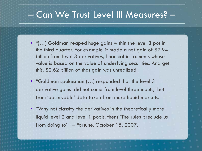# – Can We Trust Level III Measures? –

- "(…) Goldman reaped huge gains within the level 3 pot in the third quarter. For example, it made a net gain of \$2.94 billion from level 3 derivatives, financial instruments whose value is based on the value of underlying securities. And get this: \$2.62 billion of that gain was unrealized.
- "Goldman spokesman (…) responded that the level 3 derivative gains 'did not come from level three inputs,' but from 'observable' data taken from more liquid markets.
- "Why not classify the derivatives in the theoretically more liquid level 2 and level 1 pools, then? 'The rules preclude us from doing so'." – Fortune, October 15, 2007.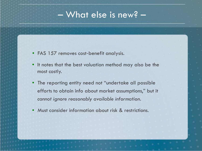# – What else is new? –

- FAS 157 removes cost-benefit analysis.
- It notes that the best valuation method may also be the most costly.
- The reporting entity need not "undertake all possible efforts to obtain info about market assumptions," but it *cannot ignore reasonably available information.*
- Must consider information about risk & restrictions.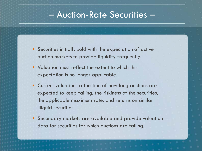### – Auction-Rate Securities –

- Securities initially sold with the expectation of active auction markets to provide liquidity frequently.
- Valuation must reflect the extent to which this expectation is no longer applicable.
- Current valuations a function of how long auctions are expected to keep failing, the riskiness of the securities, the applicable maximum rate, and returns on similar illiquid securities.
- Secondary markets are available and provide valuation data for securities for which auctions are failing.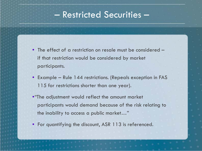# – Restricted Securities –

- The effect of a restriction on resale must be considered if that restriction would be considered by market participants.
- Example Rule 144 restrictions. (Repeals exception in FAS 115 for restrictions shorter than one year).
- •"The adjustment would reflect the amount market participants would demand because of the risk relating to the inability to access a public market…"
- For quantifying the discount, ASR 113 is referenced.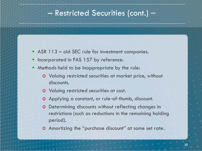#### – Restricted Securities (cont.) –

- ASR 113 old SEC rule for investment companies.
- Incorporated in FAS 157 by reference.
- Methods held to be inappropriate by the rule:
	- o Valuing restricted securities at market price, without discounts.
	- o Valuing restricted securities at cost.
	- o Applying a constant, or rule‐of‐thumb, discount.
	- o Determining discounts without reflecting changes in restrictions (such as reductions in the remaining holding period).
	- o Amortizing the "purchase discount" at some set rate.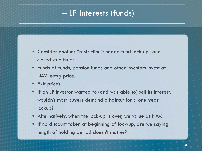# – LP Interests (funds) –

- Consider another "restriction": hedge fund lock‐ups and closed‐end funds.
- Funds-of-funds, pension funds and other investors invest at NAV: entry price.
- Exit price?
- If an LP investor wanted to (and was able to) sell its interest, wouldn't most buyers demand a haircut for a one‐year lockup?
- Alternatively, when the lock-up is over, we value at NAV.
- If no discount taken at beginning of lock-up, are we saying length of holding period doesn't matter?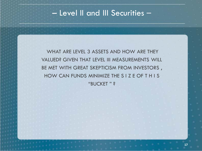### – Level II and III Securities –

WHAT ARE LEVEL 3 ASSETS AND HOW ARE THEY VALUED? GIVEN THAT LEVEL III MEASUREMENTS WILL BE MET WITH GREAT SKEPTICISM FROM INVESTORS , HOW CAN FUNDS MINIMIZE THE S I Z E OF T H I S "BUCKET " ?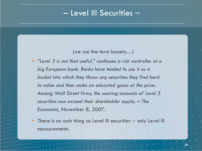#### – Level III Securities –

(we use the term loosely…)

- *"Level 3 is not that useful," confesses a risk controller at a big European bank. Banks have tended to use it as a bucket into which they throw any securities they find hard to value and then make an educated guess at the price. Among Wall Street firms, the soaring amounts of Level 3 securities now exceed their shareholder equity. – The* Economist, November 8, 2007.
- There is no such thing as Level III securities -- only Level III measurements.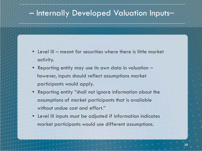#### – Internally Developed Valuation Inputs–

- Level III meant for securities where there is little market activity.
- Reporting entity may use its own data in valuation however, inputs should reflect assumptions market participants would apply.
- Reporting entity "shall not ignore information about the assumptions of market participants that is available without undue cost and effort."
- Level III inputs must be adjusted if information indicates market participants would use different assumptions.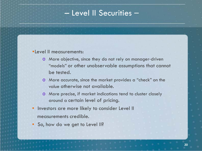#### – Level II Securities –

#### •Level II measurements:

- o More objective, since they do not rely on manager‐driven "models" or other unobservable assumptions that cannot be tested.
- o More accurate, since the market provides a "check" on the value otherwise not available.
- o More precise, if market indications tend to cluster closely around a certain level of pricing.
- Investors are more likely to consider Level II measurements credible.
- So, how do we get to Level II?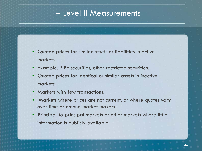#### – Level II Measurements –

- Quoted prices for similar assets or liabilities in active markets.
- Example: PIPE securities, other restricted securities.
- Quoted prices for identical or similar assets in inactive markets.
- Markets with few transactions.
- Markets where prices are not current, or where quotes vary over time or among market makers.
- Principal‐to‐principal markets or other markets where little information is publicly available.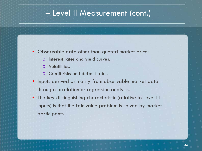#### – Level II Measurement (cont.) –

- Observable data other than quoted market prices.
	- o Interest rates and yield curves.
	- o Volatilities.
	- o Credit risks and default rates.
- Inputs derived primarily from observable market data through correlation or regression analysis.
- The key distinguishing characteristic (relative to Level III inputs) is that the fair value problem is solved by market participants.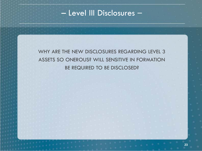### – Level III Disclosures –

WHY ARE THE NEW DISCLOSURES REGARDING LEVEL 3 ASSETS SO ONEROUS? WILL SENSITIVE IN FORMATION BE REQUIRED TO BE DISCLOSED?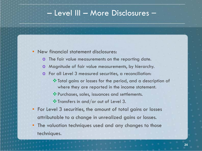#### – Level III – More Disclosures –

#### • New financial statement disclosures:

- o The fair value measurements on the reporting date.
- o Magnitude of fair value measurements, by hierarchy.
- o For all Level 3 measured securities, a reconciliation:
	- Total gains or losses for the period, and a description of where they are reported in the income statement.
	- Purchases, sales, issuances and settlements.
	- $\cdot$  Transfers in and/or out of Level 3.
- For Level 3 securities, the amount of total gains or losses attributable to a change in unrealized gains or losses.
- The valuation techniques used and any changes to those techniques.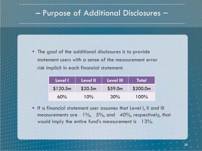### – Purpose of Additional Disclosures –

• The goal of the additional disclosures is to provide statement users with a sense of the measurement error risk implicit in each financial statement.

| Level I  | ⊦Level II | ∣ Level III' | <b>Total</b> |
|----------|-----------|--------------|--------------|
| \$120.5m | \$20.5m   | \$59.0m      | \$200.0m     |
| 60%      | 10%       | 30%          | $100\%$      |

• If a financial statement user assumes that Level I, II and III measurements are 1%, 5%, and 40%, respectively, that would imply the entire fund's measurement is 13%.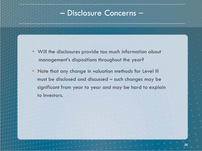#### – Disclosure Concerns –

- Will the disclosures provide too much information about management's dispositions throughout the year?
- Note that any change in valuation methods for Level III must be disclosed and discussed – such changes may be significant from year to year and may be hard to explain to investors.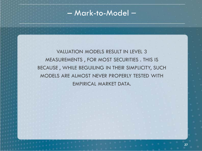– Mark-to-Model –

VALUATION MODELS RESULT IN LEVEL 3 MEASUREMENTS , FOR MOST SECURITIES . THIS IS BECAUSE , WHILE BEGUILING IN THEIR SIMPLICITY, SUCH MODELS ARE ALMOST NEVER PROPERLY TESTED WITH EMPIRICAL MARKET DATA.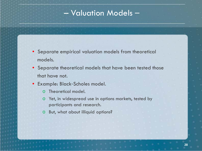#### – Valuation Models –

- Separate empirical valuation models from theoretical models.
- Separate theoretical models that have been tested those that have not.
- Example: Black‐Scholes model.
	- o Theoretical model.
	- o Yet, in widespread use in options markets, tested by participants and research.
	- o But, what about illiquid options?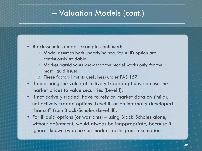#### – Valuation Models (cont.) –

- Black‐Scholes model example continued:
	- o Model assumes both underlying security AND option are continuously tradable.
	- o Market participants know that the model works only for the most‐liquid issues.
	- o These factors limit its usefulness under FAS 157.
- If measuring the value of actively traded options, can use the market prices to value securities (Level I).
- If not actively traded, have to rely on market data on similar, not actively traded options (Level II) or an internally developed "haircut" from Black‐Scholes (Level III).
- For illiquid options (or warrants) using Black-Scholes alone, without adjustment, would always be inappropriate, because it ignores known evidence on market participant assumptions.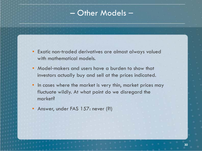#### – Other Models –

- Exotic non‐traded derivatives are almost always valued with mathematical models.
- Model-makers and users have a burden to show that investors actually buy and sell at the prices indicated.
- In cases where the market is very thin, market prices may fluctuate wildly. At what point do we disregard the market?
- Answer, under FAS 157: never (?!)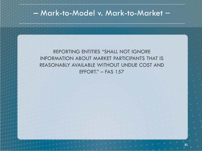#### – Mark-to-Model v. Mark-to-Market –

#### REPORTING ENTITIES "SHALL NOT IGNORE INFORMATION ABOUT MARKET PARTICIPANTS THAT IS REASONABLY AVAILABLE WITHOUT UNDUE COST AND EFFORT." – FAS 157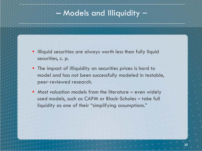#### – Models and Illiquidity –

- Illiquid securities are always worth less than fully liquid securities, c. p.
- The impact of illiquidity on securities prices is hard to model and has not been successfully modeled in testable, peer‐reviewed research.
- Most valuation models from the literature even widely used models, such as CAPM or Black‐Scholes – take full liquidity as one of their "simplifying assumptions."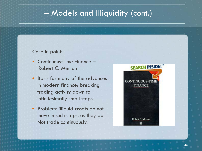### – Models and Illiquidity (cont.) –

#### Case in point:

- Continuous-Time Finance Robert C. Merton
- Basis for many of the advances in modern finance: breaking trading activity down to infinitesimally small steps.
- Problem: illiquid assets do not move in such steps, as they do Not trade continuously.

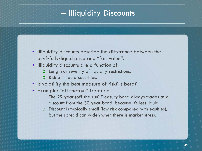#### – Illiquidity Discounts –

- Illiquidity discounts describe the difference between the as‐if‐fully‐liquid price and "fair value".
- Illiquidity discounts are a function of:
	- o Length or severity of liquidity restrictions.
	- o Risk of illiquid securities.
- Is volatility the best measure of risk? Is beta?
- Example: "off‐the‐run" Treasuries
	- o The 29‐year (off‐the‐run) Treasury bond always trades at a discount from the 30‐year bond, because it's less liquid.
	- o Discount is typically small (low risk compared with equities), but the spread can widen when there is market stress.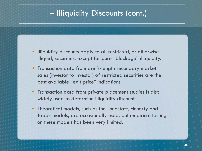### – Illiquidity Discounts (cont.) –

- Illiquidity discounts apply to all restricted, or otherwise illiquid, securities, except for pure "blockage" illiquidity.
- Transaction data from arm's-length secondary market sales (investor to investor) of restricted securities are the best available "exit price" indications.
- Transaction data from private placement studies is also widely used to determine illiquidity discounts.
- Theoretical models, such as the Longstaff, Finnerty and Tabak models, are occasionally used, but empirical testing on these models has been very limited.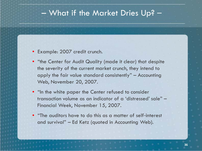#### – What if the Market Dries Up? –

- Example: 2007 credit crunch.
- "the Center for Audit Quality (made it clear) that despite the severity of the current market crunch, they intend to apply the fair value standard consistently" – Accounting Web, November 20, 2007.
- "In the white paper the Center refused to consider transaction volume as an indicator of a 'distressed' sale" – Financial Week, November 15, 2007.
- "The auditors have to do this as a matter of self‐interest and survival" – Ed Ketz (quoted in Accounting Web).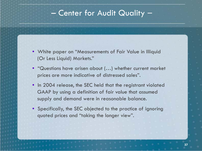#### – Center for Audit Quality –

- White paper on "Measurements of Fair Value in Illiquid (Or Less Liquid) Markets."
- "Questions have arisen about (…) whether current market prices are more indicative of distressed sales".
- In 2004 release, the SEC held that the registrant violated GAAP by using a definition of fair value that assumed supply and demand were in reasonable balance.
- Specifically, the SEC objected to the practice of ignoring quoted prices and "taking the longer view".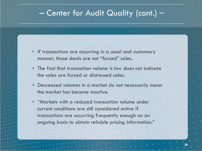#### – Center for Audit Quality (cont.) –

- If transactions are occurring in a usual and customary manner, those deals are not "forced" sales.
- The fact that transaction volume is low does not indicate the sales are forced or distressed sales.
- Decreased volumes in a market do not necessarily mean the market has become inactive.
- "Markets with a reduced transaction volume under current conditions are still considered active if transactions are occurring frequently enough on an ongoing basis to obtain reliable pricing information."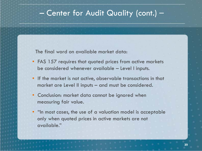#### – Center for Audit Quality (cont.) –

The final word on available market data:

- FAS 157 requires that quoted prices from active markets be considered whenever available – Level I inputs.
- If the market is not active, observable transactions in that market are Level II inputs – and must be considered.
- Conclusion: market data cannot be ignored when measuring fair value.
- "In most cases, the use of a valuation model is acceptable only when quoted prices in active markets are not available."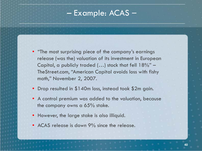#### – Example: ACAS –

- "The most surprising piece of the company's earnings release (was the) valuation of its investment in European Capital, a publicly traded  $(...)$  stock that fell  $18\%$ " – TheStreet.com, "American Capital avoids loss with fishy math," November 2, 2007.
- Drop resulted in \$140m loss, instead took \$2m gain.
- A control premium was added to the valuation, because the company owns a 65% stake.
- However, the large stake is also illiquid.
- ACAS release is down 9% since the release.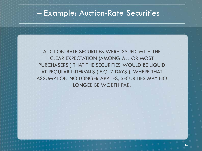#### – Example: Auction-Rate Securities –

AUCTION‐RATE SECURITIES WERE ISSUED WITH THE CLEAR EXPECTATION (AMONG ALL OR MOST PURCHASERS ) THAT THE SECURITIES WOULD BE LIQUID AT REGULAR INTERVALS ( E.G. 7 DAYS ). WHERE THAT ASSUMPTION NO LONGER APPLIES, SECURITIES MAY NO LONGER BE WORTH PAR.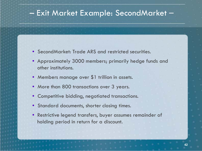#### – Exit Market Example: SecondMarket –

- SecondMarket: Trade ARS and restricted securities.
- Approximately 3000 members; primarily hedge funds and other institutions.
- Members manage over \$1 trillion in assets.
- More than 800 transactions over 3 years.
- Competitive bidding, negotiated transactions.
- Standard documents, shorter closing times.
- Restrictive legend transfers, buyer assumes remainder of holding period in return for a discount.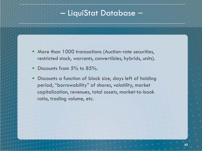#### – LiquiStat Database –

- More than 1000 transactions (Auction-rate securities, restricted stock, warrants, convertibles, hybrids, units).
- Discounts from 5% to 85%.
- Discounts a function of block size, days left of holding period, "borrowability" of shares, volatility, market capitalization, revenues, total assets, market‐to‐book ratio, trading volume, etc.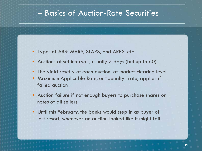#### – Basics of Auction-Rate Securities –

- Types of ARS: MARS, SLARS, and ARPS, etc.
- Auctions at set intervals, usually 7 days (but up to 60)
- The yield reset y at each auction, at market-clearing level
- Maximum Applicable Rate, or "penalty" rate, applies if failed auction
- Auction failure if not enough buyers to purchase shares or notes of all sellers
- Until this February, the banks would step in as buyer of last resort, whenever an auction looked like it might fail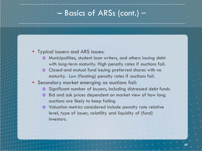#### – Basics of ARSs (cont.) –

#### • Typical issuers and ARS issues:

- o Municipalities, student loan writers, and others issuing debt with long-term maturity. High penalty rates if auctions fail.
- o Closed‐end mutual fund issuing preferred shares with no maturity. Low (floating) penalty rates if auctions fail.
- Secondary market emerging as auctions fail:
	- o Significant number of buyers, including distressed debt funds
	- o Bid and ask prices dependent on market view of how long auctions are likely to keep failing
	- o Valuation metrics considered include penalty rate relative level, type of issuer, volatility and liquidity of (fund) investors.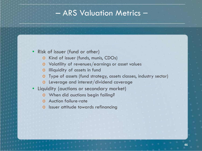### – ARS Valuation Metrics –

#### • Risk of issuer (fund or other)

- o Kind of issuer (funds, munis, CDOs)
- o Volatility of revenues/earnings or asset values
- o Illiquidity of assets in fund
- o Type of assets (fund strategy, assets classes, industry sector)
- o Leverage and interest/dividend coverage
- Liquidity (auctions or secondary market)
	- o When did auctions begin failing?
	- o Auction failure‐rate
	- o Issuer attitude towards refinancing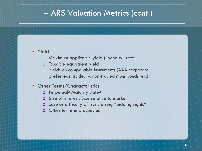#### – ARS Valuation Metrics (cont.) –

#### • Yield

- o Maximum applicable yield ("penalty" rate)
- o Taxable‐equivalent yield
- o Yields on comparable instruments (AAA corporate preferreds, traded v. non‐traded muni bonds, etc)
- Other Terms/Characteristics
	- o Perpetual? Maturity date?
	- o Size of interest. Size relative to market
	- o Ease or difficulty of transferring "bidding rights"
	- o Other terms in prospectus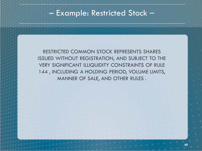#### – Example: Restricted Stock –

RESTRICTED COMMON STOCK REPRESENTS SHARES ISSUED WITHOUT REGISTRATION, AND SUBJECT TO THE VERY SIGNIFICANT ILLIQUIDITY CONSTRAINTS OF RULE 144 , INCLUDING A HOLDING PERIOD, VOLUME LIMITS, MANNER OF SALE, AND OTHER RULES .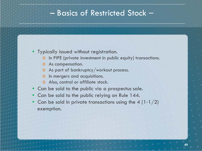### – Basics of Restricted Stock –

- Typically issued without registration.
	- o In PIPE (private investment in public equity) transactions.
	- o As compensation.
	- o As part of bankruptcy/workout process.
	- o In mergers and acquisitions.
	- o Also, control or affiliate stock.
- Can be sold to the public via a prospectus sale.
- Can be sold to the public relying on Rule 144.
- Can be sold in private transactions using the 4  $(1 1/2)$ exemption.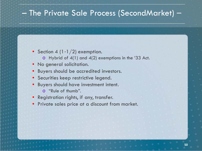### – The Private Sale Process (SecondMarket) –

- Section 4  $(1-1/2)$  exemption.
	- o Hybrid of 4(1) and 4(2) exemptions in the '33 Act.
- No general solicitation.
- Buyers should be accredited investors.
- Securities keep restrictive legend.
- Buyers should have investment intent.
	- o "Rule of thumb".
- Registration rights, if any, transfer.
- Private sales price at a discount from market.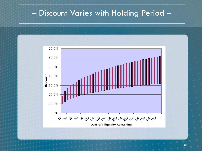#### – Discount Varies with Holding Period –



**51**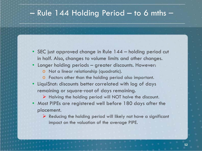#### – Rule 144 Holding Period – to 6 mths –

- SEC just approved change in Rule 144 holding period cut in half. Also, changes to volume limits and other changes.
- Longer holding periods greater discounts. However:
	- o Not a linear relationship (quadratic).
	- o Factors other than the holding period also important.
- LiquiStat: discounts better correlated with log of days remaining or square‐root of days remaining.
	- $\triangleright$  Halving the holding period will NOT halve the discount.
- Most PIPEs are registered well before 180 days after the placement.
	- $\triangleright$  Reducing the holding period will likely not have a significant impact on the valuation of the average PIPE.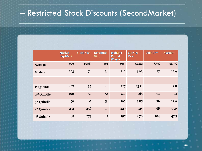# – Restricted Stock Discounts (SecondMarket) –

|                          | <b>Market</b><br>$Cap($ \$m $)$ | <b>Block Size</b> | <b>Revenues</b><br>$(*m)$ | Holding<br>Period<br>(Days) | <b>Market</b><br>Price | <b>Volatility</b> | <b>Discount</b> |
|--------------------------|---------------------------------|-------------------|---------------------------|-----------------------------|------------------------|-------------------|-----------------|
| Average                  | 293                             | 450%              | 124                       | 203                         | \$7.89                 | 86%               | 28.3%           |
| Median                   | 203                             | 76                | 38                        | 210                         | 4.03                   | 77                | 22.9            |
|                          |                                 |                   |                           |                             |                        |                   |                 |
| 1st Quintile             | 407                             | 35                | 48                        | 227                         | 13.11                  | 81                | 12.8            |
| 2 <sup>nd</sup> Quintile | 100                             | 59                | 54                        | 251                         | 3.63                   | 74                | 19.4            |
| 3rd Quintile             | 90                              | 40                | 54                        | 105                         | 3.85                   | 76                | 22.9            |
| 4 <sup>th</sup> Quintile | 232                             | 256               | 13                        | 229                         | 5.24                   | 68                | 35.0            |
| 5 <sup>th</sup> Quintile | 99                              | 274               | $\overline{7}$            | 197                         | 2.70                   | 104               | 47.5            |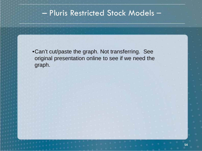### – Pluris Restricted Stock Models –

•Can't cut/paste the graph. Not transferring. See original presentation online to see if we need the graph.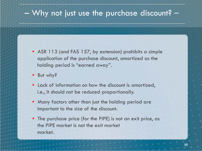### – Why not just use the purchase discount? –

- ASR 113 (and FAS 157, by extension) prohibits a simple application of the purchase discount, amortized as the holding period is "earned away".
- But why?
- Lack of information on how the discount is amortized, i.e., it should not be reduced proportionally.
- Many factors other than just the holding period are important to the size of the discount.
- The purchase price (for the PIPE) is not an exit price, as the PIPE market is not the exit market market.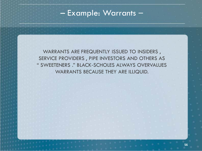# – Example: Warrants –

WARRANTS ARE FREQUENTLY ISSUED TO INSIDERS , SERVICE PROVIDERS , PIPE INVESTORS AND OTHERS AS " SWEETENERS ." BLACK‐SCHOLES ALWAYS OVERVALUES WARRANTS BECAUSE THEY ARE ILLIQUID.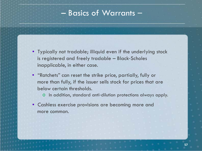#### – Basics of Warrants –

- Typically not tradable; illiquid even if the underlying stock is registered and freely tradable – Black‐Scholes inapplicable, in either case.
- "Ratchets" can reset the strike price, partially, fully or more than fully, if the issuer sells stock for prices that are below certain thresholds.
	- o In addition, standard anti‐dilution protections always apply.
- Cashless exercise provisions are becoming more and more common.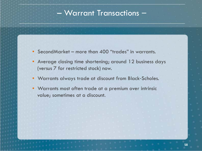- SecondMarket more than 400 "trades" in warrants.
- Average closing time shortening; around 12 business days (versus 7 for restricted stock) now.
- Warrants always trade at discount from Black‐Scholes.
- Warrants most often trade at a premium over intrinsic value; sometimes at a discount.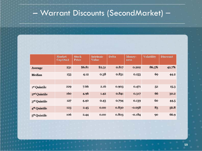# – Warrant Discounts (SecondMarket) –

|                          | <b>Market</b><br>$Cap$ (\$m) | <b>Stock</b><br>Price | <b>Intrinsic</b><br><b>Value</b> | <b>Delta</b> | Money-<br>ness | <b>Volatility</b> | <b>Discount</b> |
|--------------------------|------------------------------|-----------------------|----------------------------------|--------------|----------------|-------------------|-----------------|
| <b>Average</b>           | 231                          | \$6.81                | \$2.31                           | 0.817        | 0.202          | 86.3%             | 42.7%           |
| Median                   | 153                          | 4.12                  | 0.38                             | 0.831        | 0.153          | 69                | 44.2            |
|                          |                              |                       |                                  |              |                |                   |                 |
| 1st Quintile             | 229                          | 7.66                  | 2.16                             | 0.903        | 0.471          | 5 <sup>2</sup>    | 15.3            |
| 2 <sup>nd</sup> Quintile | <b>160</b>                   | 4.96                  | 1.42                             | 0.841        | 0.317          | 66                | 30.2            |
| 3rd Quintile             | 127                          | 4.40                  | 0.43                             | 0.794        | 0.139          | 60                | 44.5            |
| 4 <sup>th</sup> Quintile | 123                          | 2.45                  | 0.00                             | 0.830        | $-0.058$       | 83                | 56.8            |
| 5 <sup>th</sup> Quintile | 106                          | 2.44                  | 0.00                             | 0.803        | $-0.184$       | 90                | 66.9            |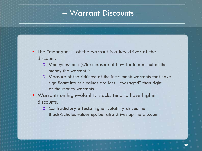#### – Warrant Discounts –

- The "moneyness" of the warrant is a key driver of the discount.
	- $\circ$  Moneyness or  $ln(s/k)$ : measure of how far into or out of the money the warrant is.
	- o Measure of the riskiness of the instrument: warrants that have significant intrinsic values are less "leveraged" than right at‐the-money warrants.
- Warrants on high‐volatility stocks tend to have higher discounts.
	- o Contradictory effects: higher volatility drives the Black‐Scholes values up, but also drives up the discount.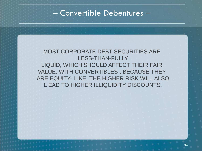#### – Convertible Debentures –

#### MOST CORPORATE DEBT SECURITIES ARE LESS‐THAN-FULLY LIQUID, WHICH SHOULD AFFECT THEIR FAIR VALUE. WITH CONVERTIBLES , BECAUSE THEY ARE EQUITY‐ LIKE, THE HIGHER RISK WILL ALSO L EAD TO HIGHER ILLIQUIDITY DISCOUNTS.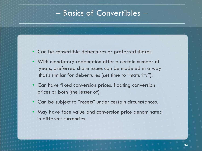#### – Basics of Convertibles –

- Can be convertible debentures or preferred shares.
- With mandatory redemption after a certain number of years, preferred share issues can be modeled in a way that's similar for debentures (set time to "maturity").
- Can have fixed conversion prices, floating conversion prices or both (the lesser of).
- Can be subject to "resets" under certain circumstances.
- May have face value and conversion price denominated in different currencies.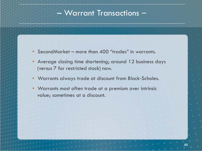- SecondMarket more than 400 "trades" in warrants.
- Average closing time shortening; around 12 business days (versus 7 for restricted stock) now.
- Warrants always trade at discount from Black‐Scholes.
- Warrants most often trade at a premium over intrinsic value; sometimes at a discount.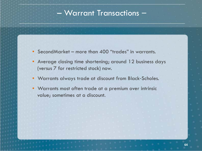- SecondMarket more than 400 "trades" in warrants.
- Average closing time shortening; around 12 business days (versus 7 for restricted stock) now.
- Warrants always trade at discount from Black‐Scholes.
- Warrants most often trade at a premium over intrinsic value; sometimes at a discount.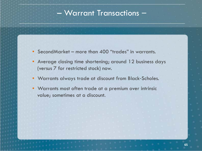- SecondMarket more than 400 "trades" in warrants.
- Average closing time shortening; around 12 business days (versus 7 for restricted stock) now.
- Warrants always trade at discount from Black‐Scholes.
- Warrants most often trade at a premium over intrinsic value; sometimes at a discount.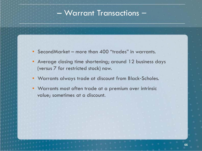- SecondMarket more than 400 "trades" in warrants.
- Average closing time shortening; around 12 business days (versus 7 for restricted stock) now.
- Warrants always trade at discount from Black‐Scholes.
- Warrants most often trade at a premium over intrinsic value; sometimes at a discount.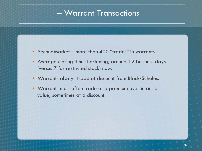- SecondMarket more than 400 "trades" in warrants.
- Average closing time shortening; around 12 business days (versus 7 for restricted stock) now.
- Warrants always trade at discount from Black‐Scholes.
- Warrants most often trade at a premium over intrinsic value; sometimes at a discount.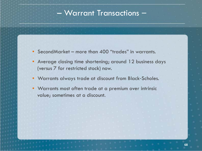- SecondMarket more than 400 "trades" in warrants.
- Average closing time shortening; around 12 business days (versus 7 for restricted stock) now.
- Warrants always trade at discount from Black‐Scholes.
- Warrants most often trade at a premium over intrinsic value; sometimes at a discount.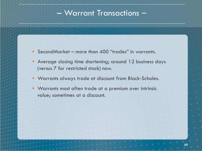- SecondMarket more than 400 "trades" in warrants.
- Average closing time shortening; around 12 business days (versus 7 for restricted stock) now.
- Warrants always trade at discount from Black‐Scholes.
- Warrants most often trade at a premium over intrinsic value; sometimes at a discount.